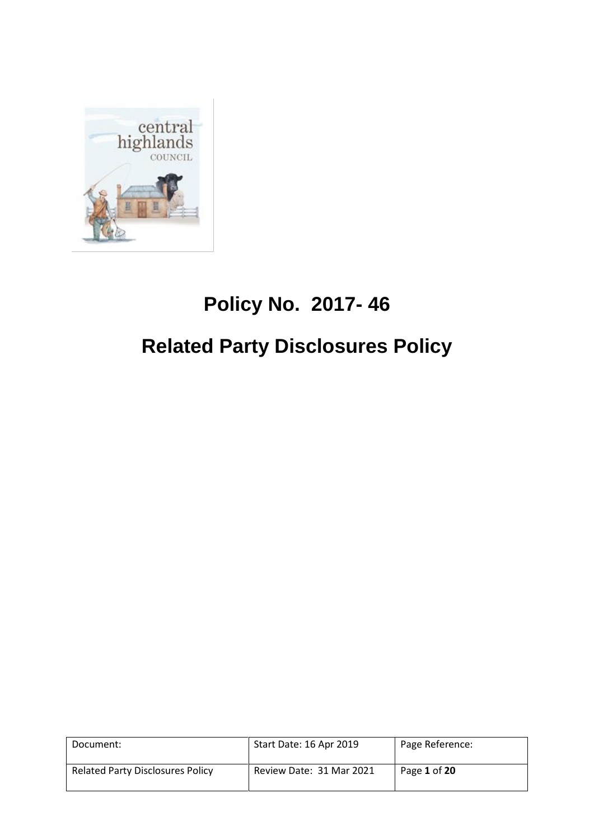

# **Policy No. 2017- 46**

# **Related Party Disclosures Policy**

| Document:                               | Start Date: 16 Apr 2019  | Page Reference: |
|-----------------------------------------|--------------------------|-----------------|
| <b>Related Party Disclosures Policy</b> | Review Date: 31 Mar 2021 | Page 1 of 20    |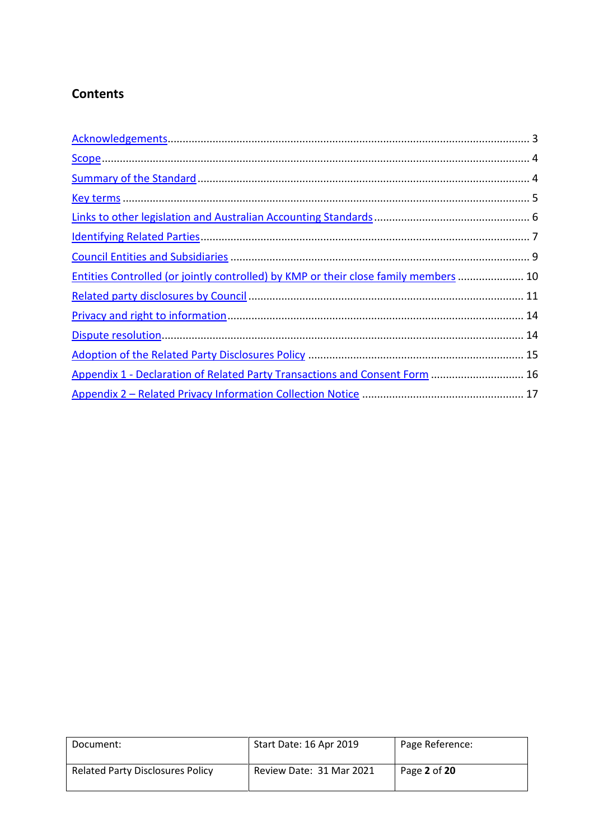## **Contents**

| Entities Controlled (or jointly controlled) by KMP or their close family members  10 |  |
|--------------------------------------------------------------------------------------|--|
|                                                                                      |  |
|                                                                                      |  |
|                                                                                      |  |
|                                                                                      |  |
| Appendix 1 - Declaration of Related Party Transactions and Consent Form  16          |  |
|                                                                                      |  |

| Document:                               | Start Date: 16 Apr 2019  | Page Reference: |
|-----------------------------------------|--------------------------|-----------------|
| <b>Related Party Disclosures Policy</b> | Review Date: 31 Mar 2021 | Page 2 of 20    |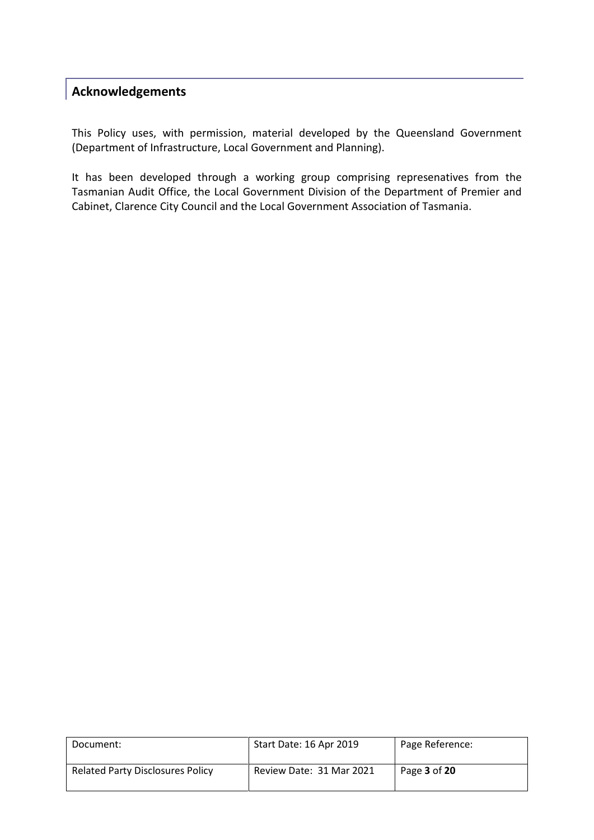## <span id="page-2-0"></span>**Acknowledgements**

This Policy uses, with permission, material developed by the Queensland Government (Department of Infrastructure, Local Government and Planning).

It has been developed through a working group comprising represenatives from the Tasmanian Audit Office, the Local Government Division of the Department of Premier and Cabinet, Clarence City Council and the Local Government Association of Tasmania.

| Document:                               | Start Date: 16 Apr 2019  | Page Reference: |
|-----------------------------------------|--------------------------|-----------------|
| <b>Related Party Disclosures Policy</b> | Review Date: 31 Mar 2021 | Page 3 of 20    |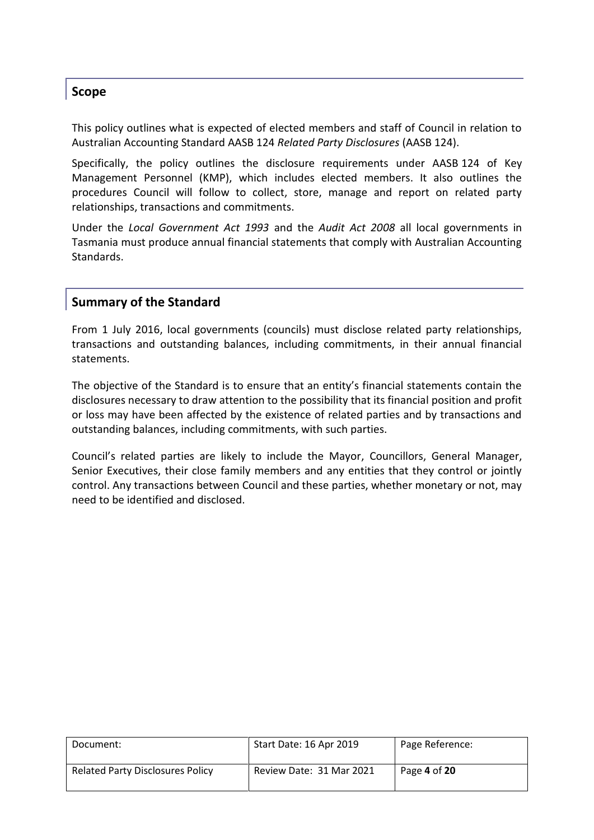### <span id="page-3-0"></span>**Scope**

This policy outlines what is expected of elected members and staff of Council in relation to Australian Accounting Standard AASB 124 *Related Party Disclosures* (AASB 124).

Specifically, the policy outlines the disclosure requirements under AASB 124 of Key Management Personnel (KMP), which includes elected members. It also outlines the procedures Council will follow to collect, store, manage and report on related party relationships, transactions and commitments.

Under the *Local Government Act 1993* and the *Audit Act 2008* all local governments in Tasmania must produce annual financial statements that comply with Australian Accounting Standards.

### <span id="page-3-1"></span>**Summary of the Standard**

From 1 July 2016, local governments (councils) must disclose related party relationships, transactions and outstanding balances, including commitments, in their annual financial statements.

The objective of the Standard is to ensure that an entity's financial statements contain the disclosures necessary to draw attention to the possibility that its financial position and profit or loss may have been affected by the existence of related parties and by transactions and outstanding balances, including commitments, with such parties.

Council's related parties are likely to include the Mayor, Councillors, General Manager, Senior Executives, their close family members and any entities that they control or jointly control. Any transactions between Council and these parties, whether monetary or not, may need to be identified and disclosed.

| Document:                               | Start Date: 16 Apr 2019  | Page Reference: |
|-----------------------------------------|--------------------------|-----------------|
| <b>Related Party Disclosures Policy</b> | Review Date: 31 Mar 2021 | Page 4 of 20    |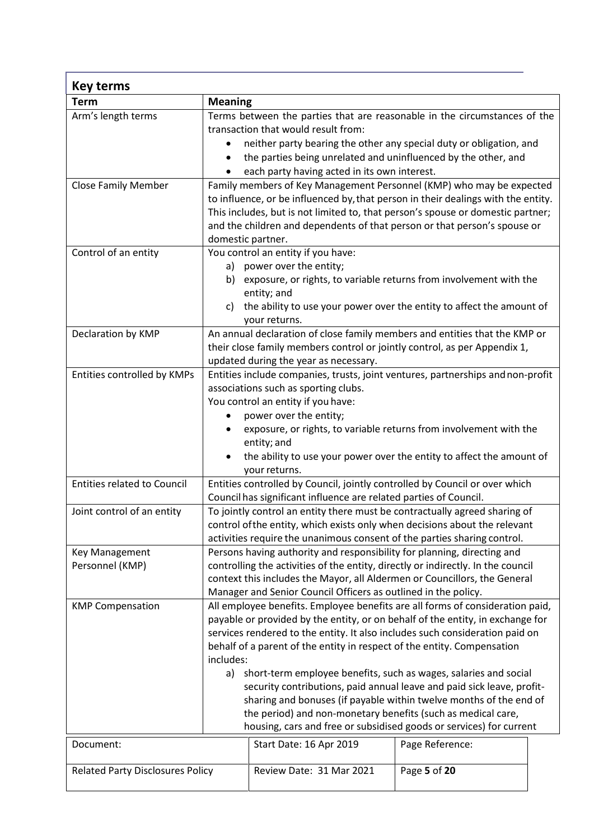| Key terms                               |                                                                                                                                                                                                                                                                                                                                                                                                                                                                                                                                                                                                                                                                                                          |                          |              |  |
|-----------------------------------------|----------------------------------------------------------------------------------------------------------------------------------------------------------------------------------------------------------------------------------------------------------------------------------------------------------------------------------------------------------------------------------------------------------------------------------------------------------------------------------------------------------------------------------------------------------------------------------------------------------------------------------------------------------------------------------------------------------|--------------------------|--------------|--|
| <b>Term</b>                             | <b>Meaning</b>                                                                                                                                                                                                                                                                                                                                                                                                                                                                                                                                                                                                                                                                                           |                          |              |  |
| Arm's length terms                      | Terms between the parties that are reasonable in the circumstances of the<br>transaction that would result from:<br>neither party bearing the other any special duty or obligation, and<br>the parties being unrelated and uninfluenced by the other, and<br>each party having acted in its own interest.                                                                                                                                                                                                                                                                                                                                                                                                |                          |              |  |
| <b>Close Family Member</b>              | Family members of Key Management Personnel (KMP) who may be expected<br>to influence, or be influenced by, that person in their dealings with the entity.<br>This includes, but is not limited to, that person's spouse or domestic partner;<br>and the children and dependents of that person or that person's spouse or<br>domestic partner.                                                                                                                                                                                                                                                                                                                                                           |                          |              |  |
| Control of an entity                    | You control an entity if you have:<br>power over the entity;<br>a)<br>b) exposure, or rights, to variable returns from involvement with the<br>entity; and<br>the ability to use your power over the entity to affect the amount of<br>C)<br>your returns.                                                                                                                                                                                                                                                                                                                                                                                                                                               |                          |              |  |
| Declaration by KMP                      | An annual declaration of close family members and entities that the KMP or<br>their close family members control or jointly control, as per Appendix 1,<br>updated during the year as necessary.                                                                                                                                                                                                                                                                                                                                                                                                                                                                                                         |                          |              |  |
| Entities controlled by KMPs             | Entities include companies, trusts, joint ventures, partnerships and non-profit<br>associations such as sporting clubs.<br>You control an entity if you have:<br>power over the entity;<br>exposure, or rights, to variable returns from involvement with the<br>entity; and<br>the ability to use your power over the entity to affect the amount of<br>$\bullet$<br>your returns.                                                                                                                                                                                                                                                                                                                      |                          |              |  |
| <b>Entities related to Council</b>      | Entities controlled by Council, jointly controlled by Council or over which<br>Council has significant influence are related parties of Council.                                                                                                                                                                                                                                                                                                                                                                                                                                                                                                                                                         |                          |              |  |
| Joint control of an entity              | To jointly control an entity there must be contractually agreed sharing of<br>control of the entity, which exists only when decisions about the relevant<br>activities require the unanimous consent of the parties sharing control.                                                                                                                                                                                                                                                                                                                                                                                                                                                                     |                          |              |  |
| Key Management<br>Personnel (KMP)       | Persons having authority and responsibility for planning, directing and<br>controlling the activities of the entity, directly or indirectly. In the council<br>context this includes the Mayor, all Aldermen or Councillors, the General<br>Manager and Senior Council Officers as outlined in the policy.                                                                                                                                                                                                                                                                                                                                                                                               |                          |              |  |
| <b>KMP Compensation</b>                 | All employee benefits. Employee benefits are all forms of consideration paid,<br>payable or provided by the entity, or on behalf of the entity, in exchange for<br>services rendered to the entity. It also includes such consideration paid on<br>behalf of a parent of the entity in respect of the entity. Compensation<br>includes:<br>short-term employee benefits, such as wages, salaries and social<br>a)<br>security contributions, paid annual leave and paid sick leave, profit-<br>sharing and bonuses (if payable within twelve months of the end of<br>the period) and non-monetary benefits (such as medical care,<br>housing, cars and free or subsidised goods or services) for current |                          |              |  |
| Document:                               | Page Reference:<br>Start Date: 16 Apr 2019                                                                                                                                                                                                                                                                                                                                                                                                                                                                                                                                                                                                                                                               |                          |              |  |
| <b>Related Party Disclosures Policy</b> |                                                                                                                                                                                                                                                                                                                                                                                                                                                                                                                                                                                                                                                                                                          | Review Date: 31 Mar 2021 | Page 5 of 20 |  |

<span id="page-4-0"></span>r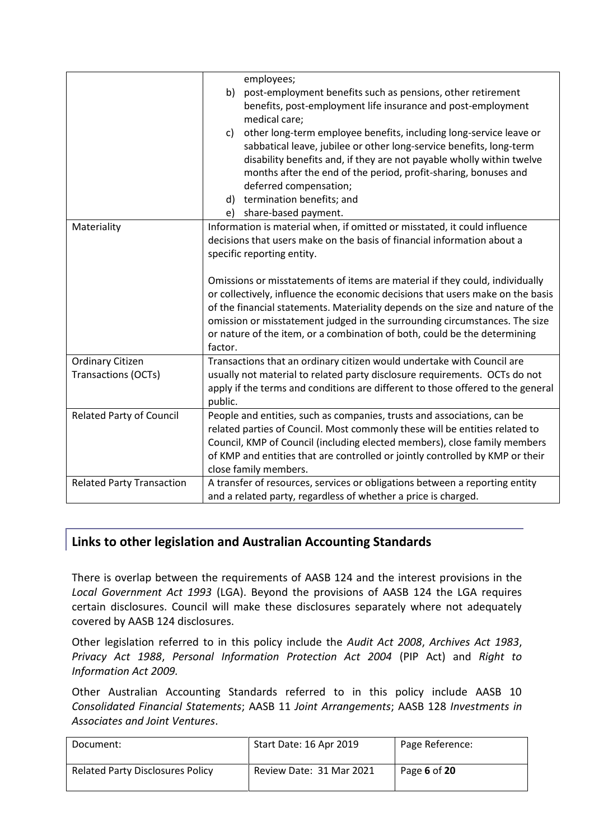|                                                | employees;<br>post-employment benefits such as pensions, other retirement<br>b)<br>benefits, post-employment life insurance and post-employment<br>medical care;<br>other long-term employee benefits, including long-service leave or<br>C)<br>sabbatical leave, jubilee or other long-service benefits, long-term<br>disability benefits and, if they are not payable wholly within twelve<br>months after the end of the period, profit-sharing, bonuses and<br>deferred compensation;                            |
|------------------------------------------------|----------------------------------------------------------------------------------------------------------------------------------------------------------------------------------------------------------------------------------------------------------------------------------------------------------------------------------------------------------------------------------------------------------------------------------------------------------------------------------------------------------------------|
|                                                | termination benefits; and<br>d)<br>share-based payment.<br>e)                                                                                                                                                                                                                                                                                                                                                                                                                                                        |
| Materiality                                    | Information is material when, if omitted or misstated, it could influence<br>decisions that users make on the basis of financial information about a<br>specific reporting entity.<br>Omissions or misstatements of items are material if they could, individually<br>or collectively, influence the economic decisions that users make on the basis<br>of the financial statements. Materiality depends on the size and nature of the<br>omission or misstatement judged in the surrounding circumstances. The size |
|                                                | or nature of the item, or a combination of both, could be the determining<br>factor.                                                                                                                                                                                                                                                                                                                                                                                                                                 |
| <b>Ordinary Citizen</b><br>Transactions (OCTs) | Transactions that an ordinary citizen would undertake with Council are<br>usually not material to related party disclosure requirements. OCTs do not<br>apply if the terms and conditions are different to those offered to the general<br>public.                                                                                                                                                                                                                                                                   |
| <b>Related Party of Council</b>                | People and entities, such as companies, trusts and associations, can be<br>related parties of Council. Most commonly these will be entities related to<br>Council, KMP of Council (including elected members), close family members<br>of KMP and entities that are controlled or jointly controlled by KMP or their<br>close family members.                                                                                                                                                                        |
| <b>Related Party Transaction</b>               | A transfer of resources, services or obligations between a reporting entity<br>and a related party, regardless of whether a price is charged.                                                                                                                                                                                                                                                                                                                                                                        |

## <span id="page-5-0"></span>**Links to other legislation and Australian Accounting Standards**

There is overlap between the requirements of AASB 124 and the interest provisions in the *Local Government Act 1993* (LGA). Beyond the provisions of AASB 124 the LGA requires certain disclosures. Council will make these disclosures separately where not adequately covered by AASB 124 disclosures.

Other legislation referred to in this policy include the *Audit Act 2008*, *Archives Act 1983*, *Privacy Act 1988*, *Personal Information Protection Act 2004* (PIP Act) and *Right to Information Act 2009.*

Other Australian Accounting Standards referred to in this policy include AASB 10 *Consolidated Financial Statements*; AASB 11 *Joint Arrangements*; AASB 128 *Investments in Associates and Joint Ventures*.

| Document:                               | Start Date: 16 Apr 2019  | Page Reference: |
|-----------------------------------------|--------------------------|-----------------|
| <b>Related Party Disclosures Policy</b> | Review Date: 31 Mar 2021 | Page 6 of 20    |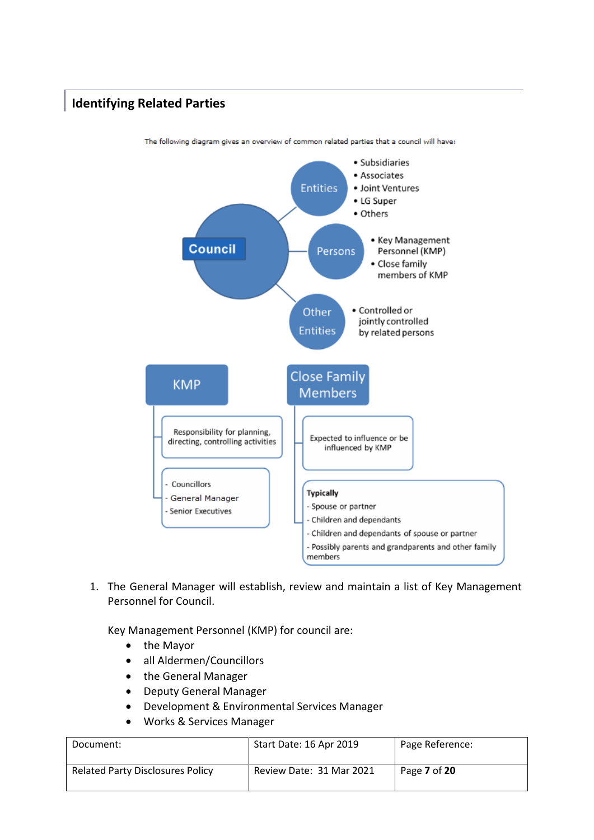## <span id="page-6-0"></span>**Identifying Related Parties**



The following diagram gives an overview of common related parties that a council will have:

1. The General Manager will establish, review and maintain a list of Key Management Personnel for Council.

Key Management Personnel (KMP) for council are:

- the Mayor
- all Aldermen/Councillors
- the General Manager
- Deputy General Manager
- Development & Environmental Services Manager
- Works & Services Manager

| Document:                               | Start Date: 16 Apr 2019  | Page Reference: |
|-----------------------------------------|--------------------------|-----------------|
| <b>Related Party Disclosures Policy</b> | Review Date: 31 Mar 2021 | Page 7 of 20    |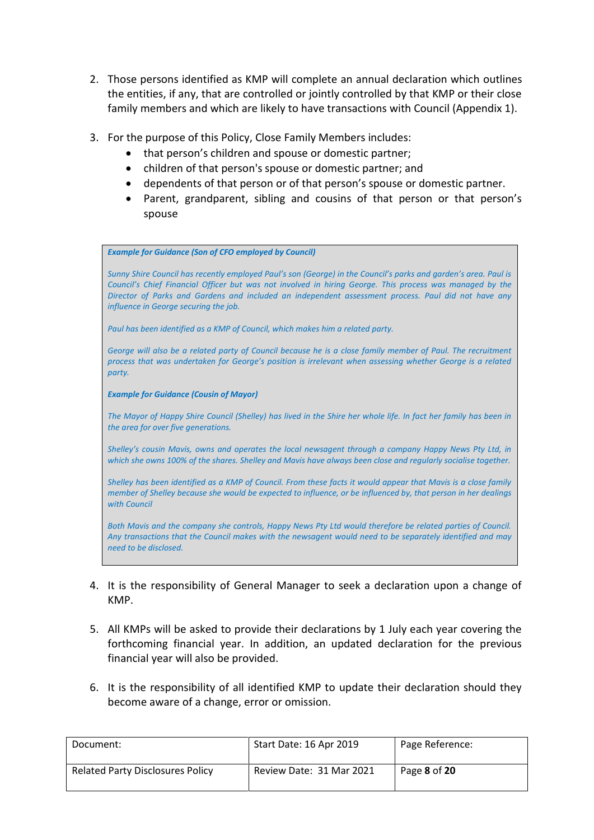- 2. Those persons identified as KMP will complete an annual declaration which outlines the entities, if any, that are controlled or jointly controlled by that KMP or their close family members and which are likely to have transactions with Council (Appendix 1).
- 3. For the purpose of this Policy, Close Family Members includes:
	- that person's children and spouse or domestic partner;
	- children of that person's spouse or domestic partner; and
	- dependents of that person or of that person's spouse or domestic partner.
	- Parent, grandparent, sibling and cousins of that person or that person's spouse

*Example for Guidance (Son of CFO employed by Council)* 

*Sunny Shire Council has recently employed Paul's son (George) in the Council's parks and garden's area. Paul is Council's Chief Financial Officer but was not involved in hiring George. This process was managed by the Director of Parks and Gardens and included an independent assessment process. Paul did not have any influence in George securing the job.* 

*Paul has been identified as a KMP of Council, which makes him a related party.* 

*George will also be a related party of Council because he is a close family member of Paul. The recruitment process that was undertaken for George's position is irrelevant when assessing whether George is a related party.*

*Example for Guidance (Cousin of Mayor)* 

*The Mayor of Happy Shire Council (Shelley) has lived in the Shire her whole life. In fact her family has been in the area for over five generations.* 

*Shelley's cousin Mavis, owns and operates the local newsagent through a company Happy News Pty Ltd, in which she owns 100% of the shares. Shelley and Mavis have always been close and regularly socialise together.* 

*Shelley has been identified as a KMP of Council. From these facts it would appear that Mavis is a close family member of Shelley because she would be expected to influence, or be influenced by, that person in her dealings with Council* 

*Both Mavis and the company she controls, Happy News Pty Ltd would therefore be related parties of Council. Any transactions that the Council makes with the newsagent would need to be separately identified and may need to be disclosed.*

- 4. It is the responsibility of General Manager to seek a declaration upon a change of KMP.
- 5. All KMPs will be asked to provide their declarations by 1 July each year covering the forthcoming financial year. In addition, an updated declaration for the previous financial year will also be provided.
- 6. It is the responsibility of all identified KMP to update their declaration should they become aware of a change, error or omission.

| Document:                               | Start Date: 16 Apr 2019  | Page Reference: |
|-----------------------------------------|--------------------------|-----------------|
| <b>Related Party Disclosures Policy</b> | Review Date: 31 Mar 2021 | Page 8 of 20    |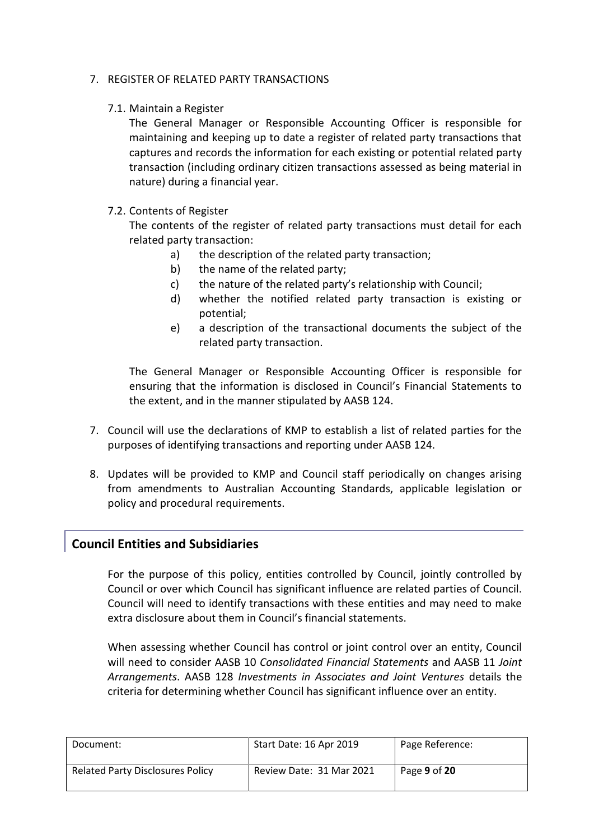#### 7. REGISTER OF RELATED PARTY TRANSACTIONS

#### 7.1. Maintain a Register

The General Manager or Responsible Accounting Officer is responsible for maintaining and keeping up to date a register of related party transactions that captures and records the information for each existing or potential related party transaction (including ordinary citizen transactions assessed as being material in nature) during a financial year.

#### 7.2. Contents of Register

The contents of the register of related party transactions must detail for each related party transaction:

- a) the description of the related party transaction;
- b) the name of the related party;
- c) the nature of the related party's relationship with Council;
- d) whether the notified related party transaction is existing or potential;
- e) a description of the transactional documents the subject of the related party transaction.

The General Manager or Responsible Accounting Officer is responsible for ensuring that the information is disclosed in Council's Financial Statements to the extent, and in the manner stipulated by AASB 124.

- 7. Council will use the declarations of KMP to establish a list of related parties for the purposes of identifying transactions and reporting under AASB 124.
- 8. Updates will be provided to KMP and Council staff periodically on changes arising from amendments to Australian Accounting Standards, applicable legislation or policy and procedural requirements.

## <span id="page-8-0"></span>**Council Entities and Subsidiaries**

For the purpose of this policy, entities controlled by Council, jointly controlled by Council or over which Council has significant influence are related parties of Council. Council will need to identify transactions with these entities and may need to make extra disclosure about them in Council's financial statements.

When assessing whether Council has control or joint control over an entity, Council will need to consider AASB 10 *Consolidated Financial Statements* and AASB 11 *Joint Arrangements*. AASB 128 *Investments in Associates and Joint Ventures* details the criteria for determining whether Council has significant influence over an entity.

| Document:                               | Start Date: 16 Apr 2019  | Page Reference: |
|-----------------------------------------|--------------------------|-----------------|
| <b>Related Party Disclosures Policy</b> | Review Date: 31 Mar 2021 | Page 9 of 20    |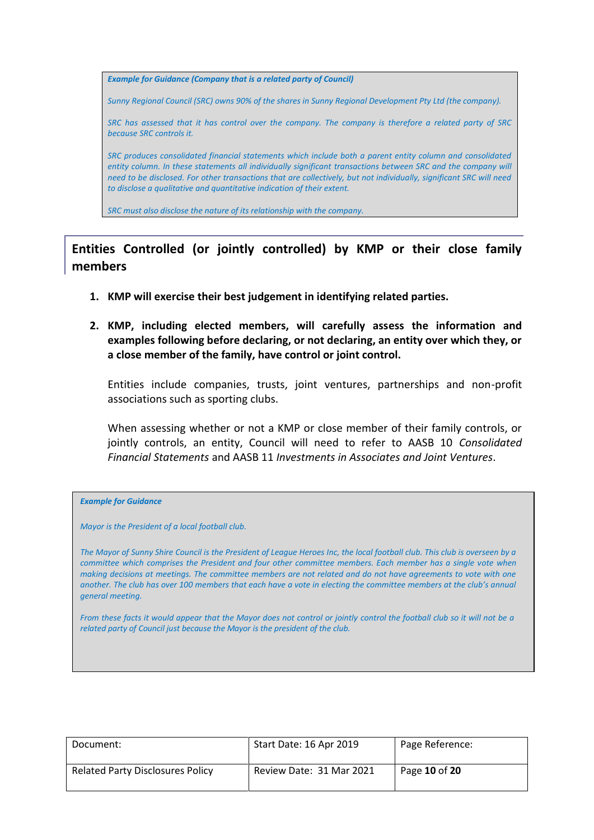**Example for Guidance (Company that is a related party of Council)** 

*Sunny Regional Council (SRC) owns 90% of the shares in Sunny Regional Development Pty Ltd (the company).* 

*SRC has assessed that it has control over the company. The company is therefore a related party of SRC because SRC controls it.* 

*SRC produces consolidated financial statements which include both a parent entity column and consolidated*  entity column. In these statements all individually significant transactions between SRC and the company will *need to be disclosed. For other transactions that are collectively, but not individually, significant SRC will need to disclose a qualitative and quantitative indication of their extent.* 

*SRC must also disclose the nature of its relationship with the company.*

## <span id="page-9-0"></span>**Entities Controlled (or jointly controlled) by KMP or their close family members**

- **1. KMP will exercise their best judgement in identifying related parties.**
- **2. KMP, including elected members, will carefully assess the information and examples following before declaring, or not declaring, an entity over which they, or a close member of the family, have control or joint control.**

Entities include companies, trusts, joint ventures, partnerships and non-profit associations such as sporting clubs.

When assessing whether or not a KMP or close member of their family controls, or jointly controls, an entity, Council will need to refer to AASB 10 *Consolidated Financial Statements* and AASB 11 *Investments in Associates and Joint Ventures*.

#### *Example for Guidance*

*Mayor is the President of a local football club.*

*The Mayor of Sunny Shire Council is the President of League Heroes Inc, the local football club. This club is overseen by a committee which comprises the President and four other committee members. Each member has a single vote when making decisions at meetings. The committee members are not related and do not have agreements to vote with one another. The club has over 100 members that each have a vote in electing the committee members at the club's annual general meeting.*

*From these facts it would appear that the Mayor does not control or jointly control the football club so it will not be a related party of Council just because the Mayor is the president of the club.*

| Document:                               | Start Date: 16 Apr 2019  | Page Reference: |
|-----------------------------------------|--------------------------|-----------------|
| <b>Related Party Disclosures Policy</b> | Review Date: 31 Mar 2021 | Page 10 of 20   |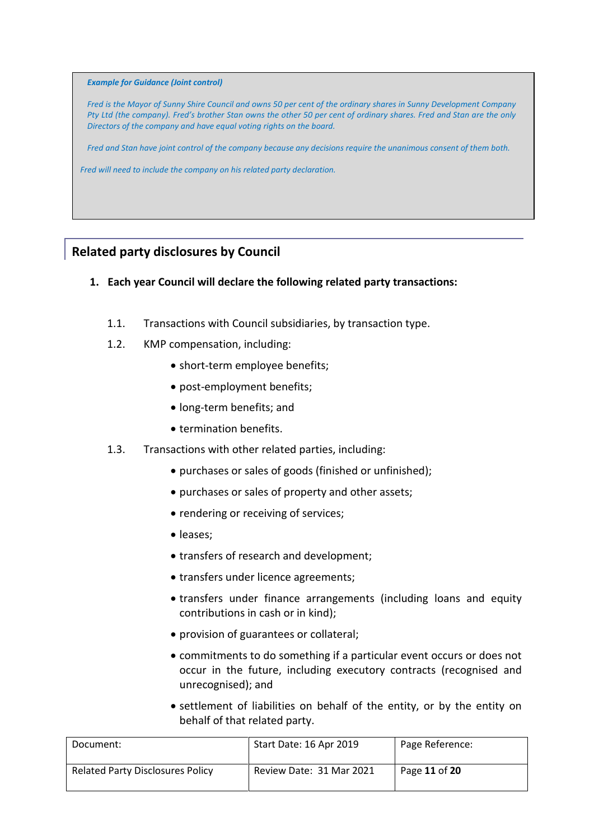#### *Example for Guidance (Joint control)*

*Fred is the Mayor of Sunny Shire Council and owns 50 per cent of the ordinary shares in Sunny Development Company Pty Ltd (the company). Fred's brother Stan owns the other 50 per cent of ordinary shares. Fred and Stan are the only Directors of the company and have equal voting rights on the board.*

*Fred and Stan have joint control of the company because any decisions require the unanimous consent of them both.*

*Fred will need to include the company on his related party declaration.*

## <span id="page-10-0"></span>**Related party disclosures by Council**

- **1. Each year Council will declare the following related party transactions:**
	- 1.1. Transactions with Council subsidiaries, by transaction type.
	- 1.2. KMP compensation, including:
		- short-term employee benefits;
		- post-employment benefits;
		- long-term benefits; and
		- termination benefits.
	- 1.3. Transactions with other related parties, including:
		- purchases or sales of goods (finished or unfinished);
		- purchases or sales of property and other assets;
		- rendering or receiving of services;
		- leases:
		- transfers of research and development;
		- transfers under licence agreements;
		- transfers under finance arrangements (including loans and equity contributions in cash or in kind);
		- provision of guarantees or collateral;
		- commitments to do something if a particular event occurs or does not occur in the future, including executory contracts (recognised and unrecognised); and
		- settlement of liabilities on behalf of the entity, or by the entity on behalf of that related party.

| Document:                        | Start Date: 16 Apr 2019  | Page Reference: |
|----------------------------------|--------------------------|-----------------|
| Related Party Disclosures Policy | Review Date: 31 Mar 2021 | Page 11 of 20   |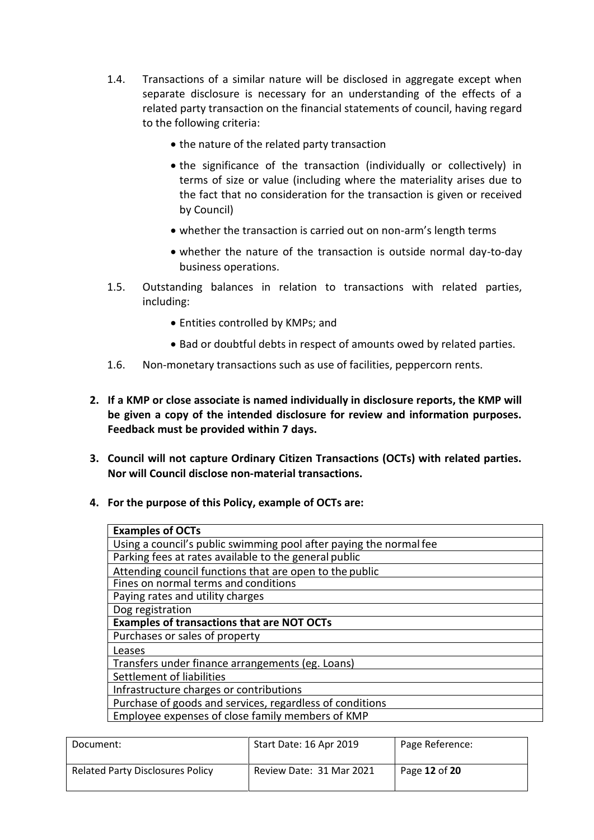- 1.4. Transactions of a similar nature will be disclosed in aggregate except when separate disclosure is necessary for an understanding of the effects of a related party transaction on the financial statements of council, having regard to the following criteria:
	- the nature of the related party transaction
	- the significance of the transaction (individually or collectively) in terms of size or value (including where the materiality arises due to the fact that no consideration for the transaction is given or received by Council)
	- whether the transaction is carried out on non-arm's length terms
	- whether the nature of the transaction is outside normal day-to-day business operations.
- 1.5. Outstanding balances in relation to transactions with related parties, including:
	- Entities controlled by KMPs; and
	- Bad or doubtful debts in respect of amounts owed by related parties.
- 1.6. Non-monetary transactions such as use of facilities, peppercorn rents.
- **2. If a KMP or close associate is named individually in disclosure reports, the KMP will be given a copy of the intended disclosure for review and information purposes. Feedback must be provided within 7 days.**
- **3. Council will not capture Ordinary Citizen Transactions (OCTs) with related parties. Nor will Council disclose non-material transactions.**
- **4. For the purpose of this Policy, example of OCTs are:**

| <b>Examples of OCTs</b>                                            |
|--------------------------------------------------------------------|
| Using a council's public swimming pool after paying the normal fee |
| Parking fees at rates available to the general public              |
| Attending council functions that are open to the public            |
| Fines on normal terms and conditions                               |
| Paying rates and utility charges                                   |
| Dog registration                                                   |
| <b>Examples of transactions that are NOT OCTs</b>                  |
| Purchases or sales of property                                     |
| Leases                                                             |
| Transfers under finance arrangements (eg. Loans)                   |
| Settlement of liabilities                                          |
| Infrastructure charges or contributions                            |
| Purchase of goods and services, regardless of conditions           |
| Employee expenses of close family members of KMP                   |

| Document:                               | Start Date: 16 Apr 2019  | Page Reference: |
|-----------------------------------------|--------------------------|-----------------|
| <b>Related Party Disclosures Policy</b> | Review Date: 31 Mar 2021 | Page 12 of 20   |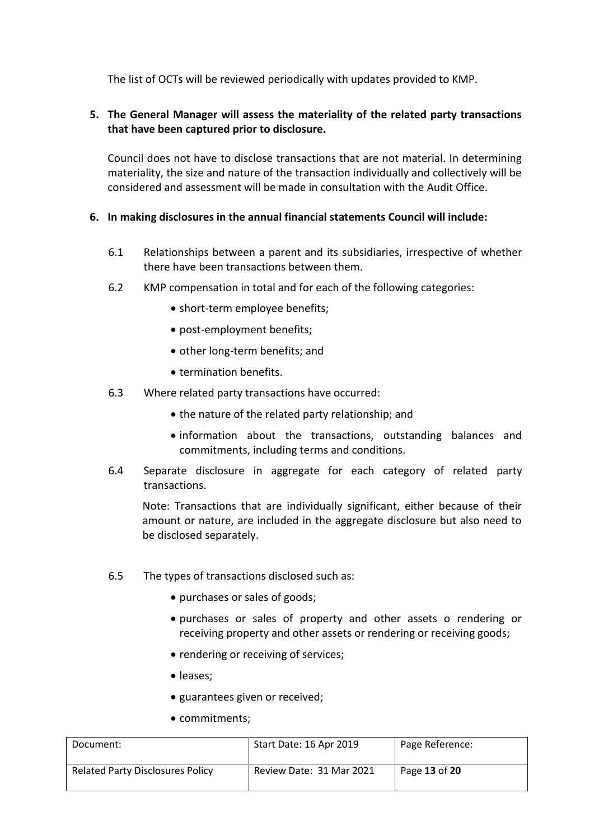The list of OCTs will be reviewed periodically with updates provided to KMP.

#### **5. The General Manager will assess the materiality of the related party transactions that have been captured prior to disclosure.**

Council does not have to disclose transactions that are not material. In determining materiality, the size and nature of the transaction individually and collectively will be considered and assessment will be made in consultation with the Audit Office.

#### **6. In making disclosures in the annual financial statements Council will include:**

- 6.1 Relationships between a parent and its subsidiaries, irrespective of whether there have been transactions between them.
- 6.2 KMP compensation in total and for each of the following categories:
	- short-term employee benefits;
	- post-employment benefits;
	- other long-term benefits; and
	- termination benefits.
- 6.3 Where related party transactions have occurred:
	- the nature of the related party relationship; and
	- information about the transactions, outstanding balances and commitments, including terms and conditions.
- 6.4 Separate disclosure in aggregate for each category of related party transactions.

Note: Transactions that are individually significant, either because of their amount or nature, are included in the aggregate disclosure but also need to be disclosed separately.

- 6.5 The types of transactions disclosed such as:
	- purchases or sales of goods;
	- purchases or sales of property and other assets o rendering or receiving property and other assets or rendering or receiving goods;
	- rendering or receiving of services:
	- leases;
	- guarantees given or received;
	- commitments:

| Document:                               | Start Date: 16 Apr 2019  | Page Reference: |
|-----------------------------------------|--------------------------|-----------------|
| <b>Related Party Disclosures Policy</b> | Review Date: 31 Mar 2021 | Page 13 of 20   |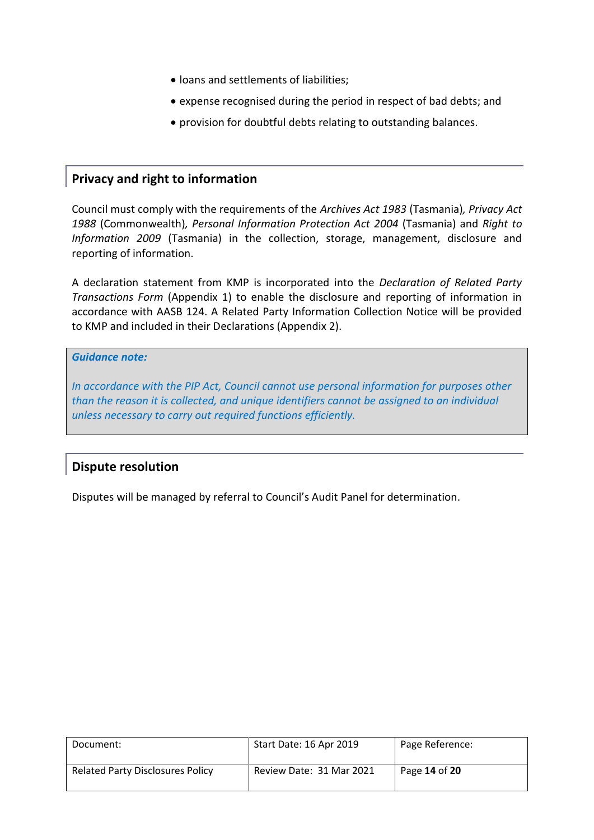- loans and settlements of liabilities;
- expense recognised during the period in respect of bad debts; and
- provision for doubtful debts relating to outstanding balances.

## <span id="page-13-0"></span>**Privacy and right to information**

Council must comply with the requirements of the *Archives Act 1983* (Tasmania)*, Privacy Act 1988* (Commonwealth)*, Personal Information Protection Act 2004* (Tasmania) and *Right to Information 2009* (Tasmania) in the collection, storage, management, disclosure and reporting of information.

A declaration statement from KMP is incorporated into the *Declaration of Related Party Transactions Form* (Appendix 1) to enable the disclosure and reporting of information in accordance with AASB 124. A Related Party Information Collection Notice will be provided to KMP and included in their Declarations (Appendix 2).

#### *Guidance note:*

*In accordance with the PIP Act, Council cannot use personal information for purposes other than the reason it is collected, and unique identifiers cannot be assigned to an individual unless necessary to carry out required functions efficiently.* 

### <span id="page-13-1"></span>**Dispute resolution**

Disputes will be managed by referral to Council's Audit Panel for determination.

| Document:                               | Start Date: 16 Apr 2019  | Page Reference: |
|-----------------------------------------|--------------------------|-----------------|
| <b>Related Party Disclosures Policy</b> | Review Date: 31 Mar 2021 | Page 14 of 20   |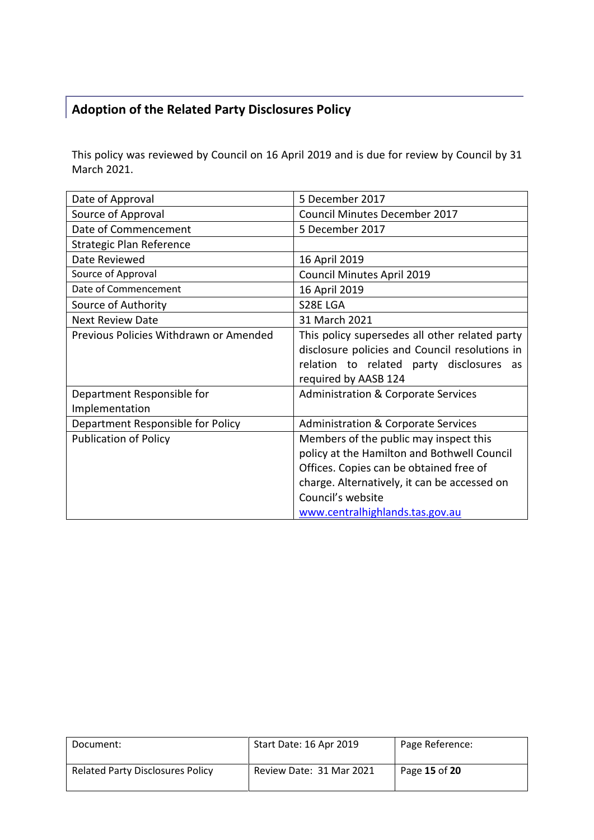## <span id="page-14-0"></span>**Adoption of the Related Party Disclosures Policy**

This policy was reviewed by Council on 16 April 2019 and is due for review by Council by 31 March 2021.

| Date of Approval                             | 5 December 2017                                                                                                                                                                                                                          |
|----------------------------------------------|------------------------------------------------------------------------------------------------------------------------------------------------------------------------------------------------------------------------------------------|
| Source of Approval                           | Council Minutes December 2017                                                                                                                                                                                                            |
| Date of Commencement                         | 5 December 2017                                                                                                                                                                                                                          |
| <b>Strategic Plan Reference</b>              |                                                                                                                                                                                                                                          |
| Date Reviewed                                | 16 April 2019                                                                                                                                                                                                                            |
| Source of Approval                           | <b>Council Minutes April 2019</b>                                                                                                                                                                                                        |
| Date of Commencement                         | 16 April 2019                                                                                                                                                                                                                            |
| Source of Authority                          | S28E LGA                                                                                                                                                                                                                                 |
| <b>Next Review Date</b>                      | 31 March 2021                                                                                                                                                                                                                            |
| Previous Policies Withdrawn or Amended       | This policy supersedes all other related party<br>disclosure policies and Council resolutions in<br>relation to related party disclosures<br>as<br>required by AASB 124                                                                  |
| Department Responsible for<br>Implementation | <b>Administration &amp; Corporate Services</b>                                                                                                                                                                                           |
| Department Responsible for Policy            | <b>Administration &amp; Corporate Services</b>                                                                                                                                                                                           |
| <b>Publication of Policy</b>                 | Members of the public may inspect this<br>policy at the Hamilton and Bothwell Council<br>Offices. Copies can be obtained free of<br>charge. Alternatively, it can be accessed on<br>Council's website<br>www.centralhighlands.tas.gov.au |

| Document:                               | Start Date: 16 Apr 2019  | Page Reference: |
|-----------------------------------------|--------------------------|-----------------|
| <b>Related Party Disclosures Policy</b> | Review Date: 31 Mar 2021 | Page 15 of 20   |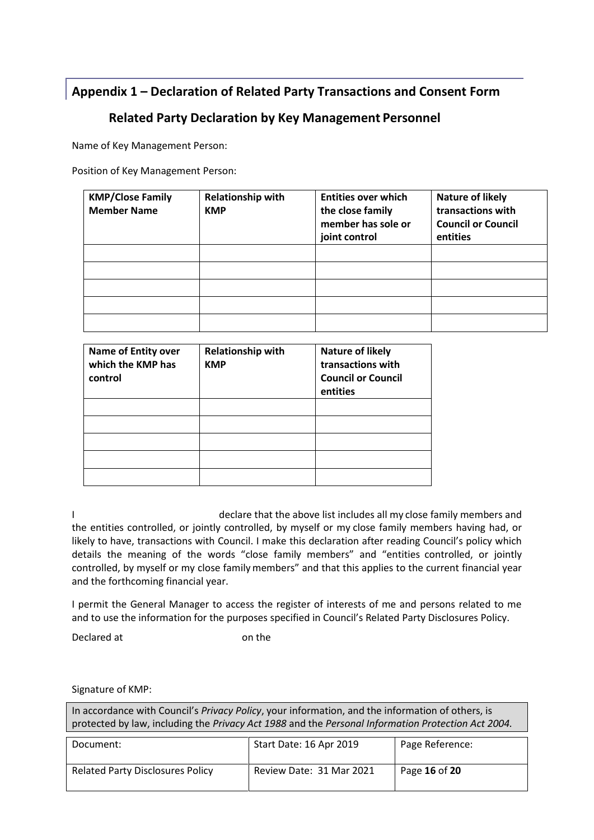## <span id="page-15-0"></span>**Appendix 1 – Declaration of Related Party Transactions and Consent Form**

## **Related Party Declaration by Key Management Personnel**

Name of Key Management Person:

Position of Key Management Person:

| <b>KMP/Close Family</b><br><b>Member Name</b> | <b>Relationship with</b><br><b>KMP</b> | <b>Entities over which</b><br>the close family<br>member has sole or<br>joint control | <b>Nature of likely</b><br>transactions with<br><b>Council or Council</b><br>entities |
|-----------------------------------------------|----------------------------------------|---------------------------------------------------------------------------------------|---------------------------------------------------------------------------------------|
|                                               |                                        |                                                                                       |                                                                                       |
|                                               |                                        |                                                                                       |                                                                                       |
|                                               |                                        |                                                                                       |                                                                                       |
|                                               |                                        |                                                                                       |                                                                                       |
|                                               |                                        |                                                                                       |                                                                                       |

| <b>Name of Entity over</b><br>which the KMP has<br>control | <b>Relationship with</b><br><b>KMP</b> | <b>Nature of likely</b><br>transactions with<br><b>Council or Council</b><br>entities |
|------------------------------------------------------------|----------------------------------------|---------------------------------------------------------------------------------------|
|                                                            |                                        |                                                                                       |
|                                                            |                                        |                                                                                       |
|                                                            |                                        |                                                                                       |
|                                                            |                                        |                                                                                       |
|                                                            |                                        |                                                                                       |

I declare that the above list includes all my close family members and the entities controlled, or jointly controlled, by myself or my close family members having had, or likely to have, transactions with Council. I make this declaration after reading Council's policy which details the meaning of the words "close family members" and "entities controlled, or jointly controlled, by myself or my close familymembers" and that this applies to the current financial year and the forthcoming financial year.

I permit the General Manager to access the register of interests of me and persons related to me and to use the information for the purposes specified in Council's Related Party Disclosures Policy.

Declared at **Declared** at **on the** 

Signature of KMP:

| In accordance with Council's Privacy Policy, your information, and the information of others, is<br>protected by law, including the Privacy Act 1988 and the Personal Information Protection Act 2004. |                          |                 |  |
|--------------------------------------------------------------------------------------------------------------------------------------------------------------------------------------------------------|--------------------------|-----------------|--|
| Start Date: 16 Apr 2019<br>Document:                                                                                                                                                                   |                          | Page Reference: |  |
| <b>Related Party Disclosures Policy</b>                                                                                                                                                                | Review Date: 31 Mar 2021 | Page 16 of 20   |  |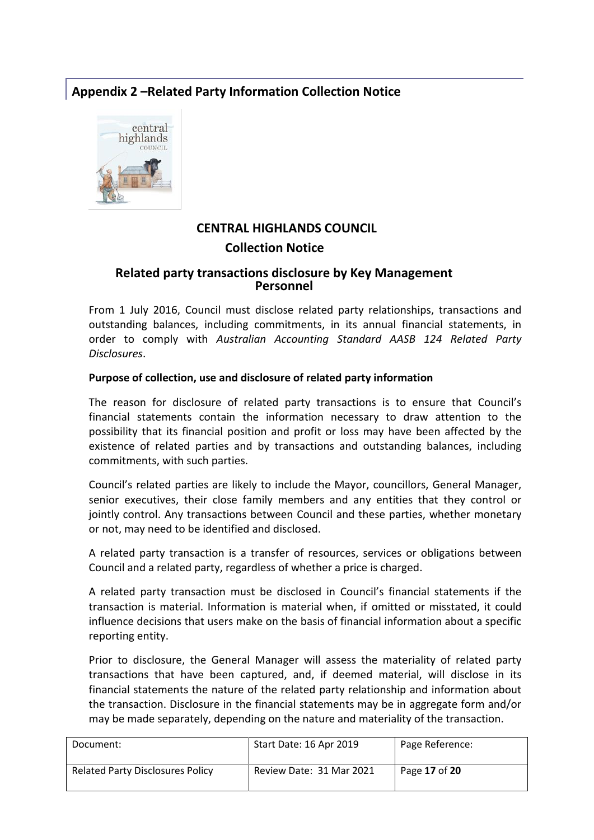## <span id="page-16-0"></span>**Appendix 2 –Related Party Information Collection Notice**



## **CENTRAL HIGHLANDS COUNCIL Collection Notice**

#### **Related party transactions disclosure by Key Management Personnel**

From 1 July 2016, Council must disclose related party relationships, transactions and outstanding balances, including commitments, in its annual financial statements, in order to comply with *Australian Accounting Standard AASB 124 Related Party Disclosures*.

#### **Purpose of collection, use and disclosure of related party information**

The reason for disclosure of related party transactions is to ensure that Council's financial statements contain the information necessary to draw attention to the possibility that its financial position and profit or loss may have been affected by the existence of related parties and by transactions and outstanding balances, including commitments, with such parties.

Council's related parties are likely to include the Mayor, councillors, General Manager, senior executives, their close family members and any entities that they control or jointly control. Any transactions between Council and these parties, whether monetary or not, may need to be identified and disclosed.

A related party transaction is a transfer of resources, services or obligations between Council and a related party, regardless of whether a price is charged.

A related party transaction must be disclosed in Council's financial statements if the transaction is material. Information is material when, if omitted or misstated, it could influence decisions that users make on the basis of financial information about a specific reporting entity.

Prior to disclosure, the General Manager will assess the materiality of related party transactions that have been captured, and, if deemed material, will disclose in its financial statements the nature of the related party relationship and information about the transaction. Disclosure in the financial statements may be in aggregate form and/or may be made separately, depending on the nature and materiality of the transaction.

| Document:                               | Start Date: 16 Apr 2019  | Page Reference: |
|-----------------------------------------|--------------------------|-----------------|
| <b>Related Party Disclosures Policy</b> | Review Date: 31 Mar 2021 | Page 17 of 20   |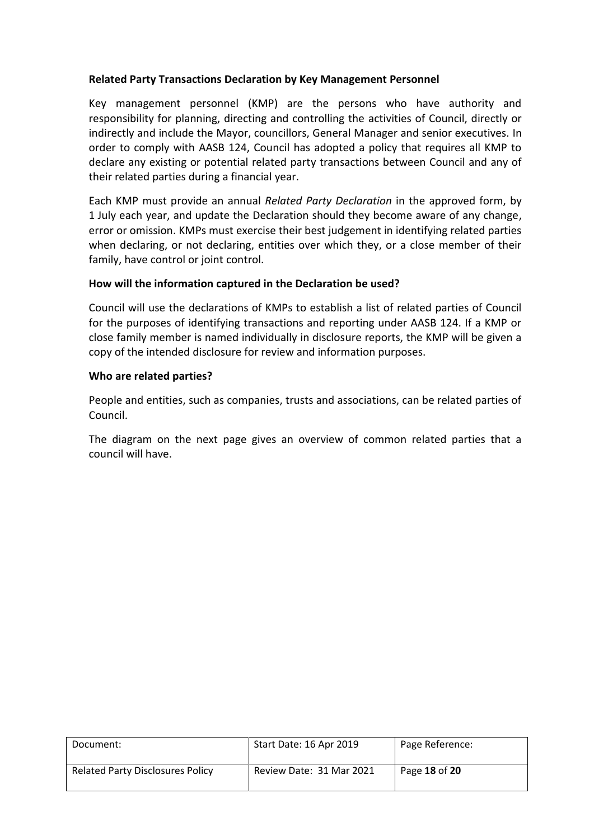#### **Related Party Transactions Declaration by Key Management Personnel**

Key management personnel (KMP) are the persons who have authority and responsibility for planning, directing and controlling the activities of Council, directly or indirectly and include the Mayor, councillors, General Manager and senior executives. In order to comply with AASB 124, Council has adopted a policy that requires all KMP to declare any existing or potential related party transactions between Council and any of their related parties during a financial year.

Each KMP must provide an annual *Related Party Declaration* in the approved form, by 1 July each year, and update the Declaration should they become aware of any change, error or omission. KMPs must exercise their best judgement in identifying related parties when declaring, or not declaring, entities over which they, or a close member of their family, have control or joint control.

#### **How will the information captured in the Declaration be used?**

Council will use the declarations of KMPs to establish a list of related parties of Council for the purposes of identifying transactions and reporting under AASB 124. If a KMP or close family member is named individually in disclosure reports, the KMP will be given a copy of the intended disclosure for review and information purposes.

#### **Who are related parties?**

People and entities, such as companies, trusts and associations, can be related parties of Council.

The diagram on the next page gives an overview of common related parties that a council will have.

| Document:                               | Start Date: 16 Apr 2019  | Page Reference: |
|-----------------------------------------|--------------------------|-----------------|
| <b>Related Party Disclosures Policy</b> | Review Date: 31 Mar 2021 | Page 18 of 20   |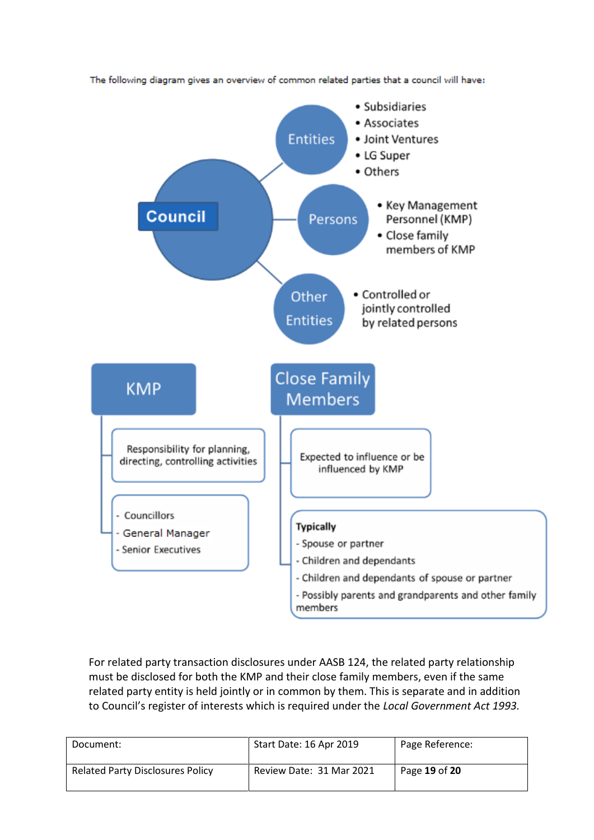

The following diagram gives an overview of common related parties that a council will have:

For related party transaction disclosures under AASB 124, the related party relationship must be disclosed for both the KMP and their close family members, even if the same related party entity is held jointly or in common by them. This is separate and in addition to Council's register of interests which is required under the *Local Government Act 1993.*

| Document:                               | Start Date: 16 Apr 2019  | Page Reference: |
|-----------------------------------------|--------------------------|-----------------|
| <b>Related Party Disclosures Policy</b> | Review Date: 31 Mar 2021 | Page 19 of 20   |